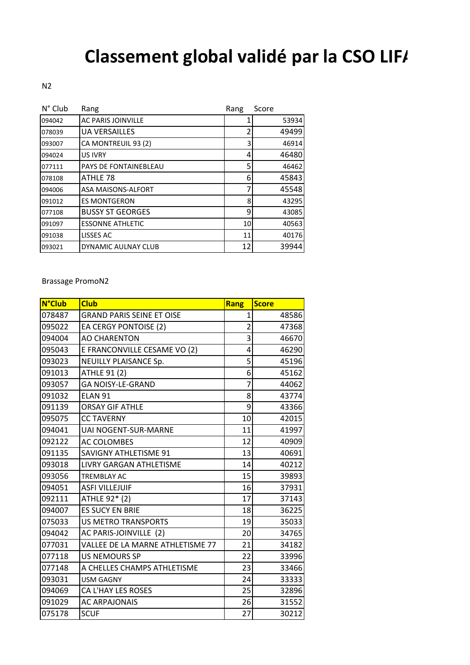## **Classement global validé par la CSO LIFA**

N2

| $N^{\circ}$ Club | Rang                      | Rang | Score |
|------------------|---------------------------|------|-------|
| 094042           | <b>AC PARIS JOINVILLE</b> |      | 53934 |
| 078039           | <b>UA VERSAILLES</b>      | 2    | 49499 |
| 093007           | CA MONTREUIL 93 (2)       | 3    | 46914 |
| 094024           | <b>US IVRY</b>            | 4    | 46480 |
| 077111           | PAYS DE FONTAINEBLEAU     | 5    | 46462 |
| 078108           | ATHLE 78                  | 6    | 45843 |
| 094006           | ASA MAISONS-ALFORT        | 7    | 45548 |
| 091012           | <b>ES MONTGERON</b>       | 8    | 43295 |
| 077108           | <b>BUSSY ST GEORGES</b>   | 9    | 43085 |
| 091097           | <b>ESSONNE ATHLETIC</b>   | 10   | 40563 |
| 091038           | LISSES AC                 | 11   | 40176 |
| 093021           | DYNAMIC AULNAY CLUB       | 12   | 39944 |

Brassage PromoN2

| <b>N°Club</b> | <b>Club</b>                      | <b>Rang</b>    | <b>Score</b> |
|---------------|----------------------------------|----------------|--------------|
| 078487        | <b>GRAND PARIS SEINE ET OISE</b> | 1              | 48586        |
| 095022        | EA CERGY PONTOISE (2)            | $\overline{2}$ | 47368        |
| 094004        | <b>AO CHARENTON</b>              | 3              | 46670        |
| 095043        | E FRANCONVILLE CESAME VO (2)     | 4              | 46290        |
| 093023        | NEUILLY PLAISANCE Sp.            | 5              | 45196        |
| 091013        | <b>ATHLE 91 (2)</b>              | 6              | 45162        |
| 093057        | <b>GA NOISY-LE-GRAND</b>         | $\overline{7}$ | 44062        |
| 091032        | ELAN <sub>91</sub>               | 8              | 43774        |
| 091139        | <b>ORSAY GIF ATHLE</b>           | 9              | 43366        |
| 095075        | <b>CC TAVERNY</b>                | 10             | 42015        |
| 094041        | <b>UAI NOGENT-SUR-MARNE</b>      | 11             | 41997        |
| 092122        | AC COLOMBES                      | 12             | 40909        |
| 091135        | SAVIGNY ATHLETISME 91            | 13             | 40691        |
| 093018        | LIVRY GARGAN ATHLETISME          | 14             | 40212        |
| 093056        | <b>TREMBLAY AC</b>               | 15             | 39893        |
| 094051        | <b>ASFI VILLEJUIF</b>            | 16             | 37931        |
| 092111        | ATHLE 92* (2)                    | 17             | 37143        |
| 094007        | <b>ES SUCY EN BRIE</b>           | 18             | 36225        |
| 075033        | <b>US METRO TRANSPORTS</b>       | 19             | 35033        |
| 094042        | AC PARIS-JOINVILLE (2)           | 20             | 34765        |
| 077031        | VALLEE DE LA MARNE ATHLETISME 77 | 21             | 34182        |
| 077118        | <b>US NEMOURS SP</b>             | 22             | 33996        |
| 077148        | A CHELLES CHAMPS ATHLETISME      | 23             | 33466        |
| 093031        | <b>USM GAGNY</b>                 | 24             | 33333        |
| 094069        | CA L'HAY LES ROSES               | 25             | 32896        |
| 091029        | <b>AC ARPAJONAIS</b>             | 26             | 31552        |
| 075178        | <b>SCUF</b>                      | 27             | 30212        |